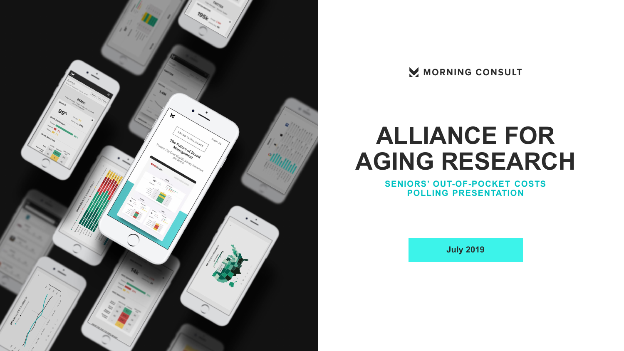

MORNING CONSULT

# **ALLIANCE FOR AGING RESEARCH**

**SENIORS' OUT-OF-POCKET COSTS POLLING PRESENTATION**

**July 2019**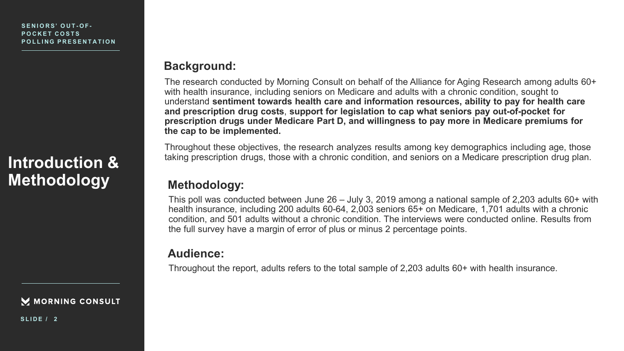## **Introduction & Methodology Methodology:**

M MORNING CONSULT

### **Background:**

The research conducted by Morning Consult on behalf of the Alliance for Aging Research among adults 60+ with health insurance, including seniors on Medicare and adults with a chronic condition, sought to understand **sentiment towards health care and information resources, ability to pay for health care and prescription drug costs**, **support for legislation to cap what seniors pay out-of-pocket for prescription drugs under Medicare Part D, and willingness to pay more in Medicare premiums for the cap to be implemented.** 

Throughout these objectives, the research analyzes results among key demographics including age, those taking prescription drugs, those with a chronic condition, and seniors on a Medicare prescription drug plan.

This poll was conducted between June 26 – July 3, 2019 among a national sample of 2,203 adults 60+ with health insurance, including 200 adults 60-64, 2,003 seniors 65+ on Medicare, 1,701 adults with a chronic condition, and 501 adults without a chronic condition. The interviews were conducted online. Results from the full survey have a margin of error of plus or minus 2 percentage points.

## **Audience:**

Throughout the report, adults refers to the total sample of 2,203 adults 60+ with health insurance.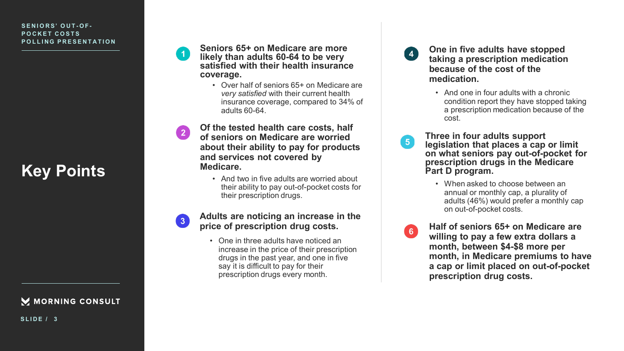## **Key Points**

M MORNING CONSULT

**Seniors 65+ on Medicare are more likely than adults 60-64 to be very satisfied with their health insurance coverage.** 

> • Over half of seniors 65+ on Medicare are *very satisfied* with their current health insurance coverage, compared to 34% of adults 60-64.

**Of the tested health care costs, half of seniors on Medicare are worried about their ability to pay for products and services not covered by Medicare.**

 $\vert 2 \vert$ 

• And two in five adults are worried about their ability to pay out-of-pocket costs for their prescription drugs.

### **Adults are noticing an increase in the price of prescription drug costs.**

• One in three adults have noticed an increase in the price of their prescription drugs in the past year, and one in five say it is difficult to pay for their prescription drugs every month.

**One in five adults have stopped taking a prescription medication because of the cost of the medication.**

- And one in four adults with a chronic condition report they have stopped taking a prescription medication because of the cost.
- **Three in four adults support**  5 **legislation that places a cap or limit on what seniors pay out-of-pocket for prescription drugs in the Medicare**  Part D program.
	- When asked to choose between an annual or monthly cap, a plurality of adults (46%) would prefer a monthly cap on out-of-pocket costs.
	- **Half of seniors 65+ on Medicare are willing to pay a few extra dollars a month, between \$4-\$8 more per month, in Medicare premiums to have a cap or limit placed on out-of-pocket prescription drug costs.**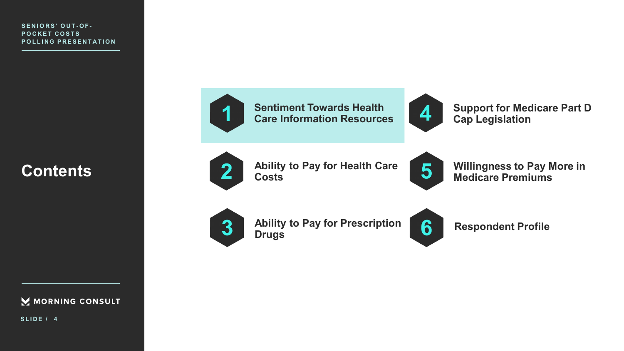## **Contents**



**Sentiment Towards Health Care Information Resources**



**Support for Medicare Part D Cap Legislation**



**Ability to Pay for Health Care Costs**



**Willingness to Pay More in Medicare Premiums** 



**Ability to Pay for Prescription Drugs** 



**Respondent Profile** 

**SLIDE / 4**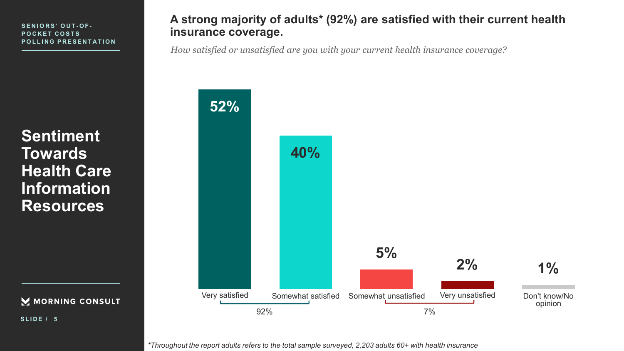**Sentiment Towards Health Care Information Resources**

MORNING CONSULT

**SLIDE / 5**

## **A strong majority of adults\* (92%) are satisfied with their current health insurance coverage.**

*How satisfied or unsatisfied are you with your current health insurance coverage?*



*\*Throughout the report adults refers to the total sample surveyed, 2,203 adults 60+ with health insurance*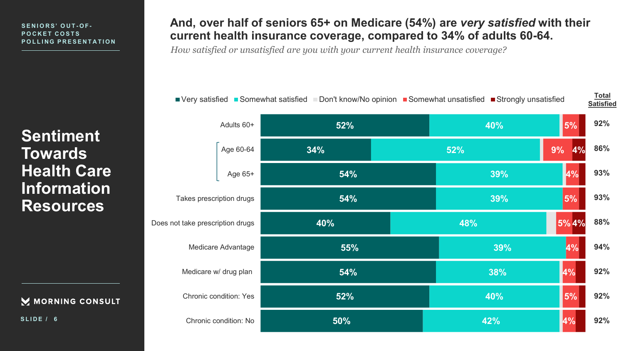**Sentiment Towards Health Care Information Resources**

M MORNING CONSULT

**SLIDE / 6**

## **And, over half of seniors 65+ on Medicare (54%) are** *very satisfied* **with their current health insurance coverage, compared to 34% of adults 60-64.**

*How satisfied or unsatisfied are you with your current health insurance coverage?*

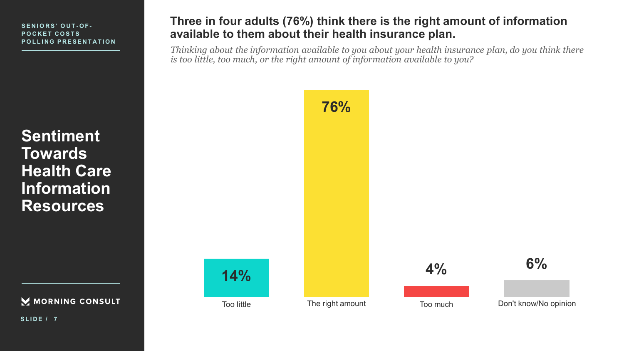**Sentiment Towards Health Care Information Resources**

M MORNING CONSULT

**SLIDE / 7**

## **Three in four adults (76%) think there is the right amount of information available to them about their health insurance plan.**

*Thinking about the information available to you about your health insurance plan, do you think there is too little, too much, or the right amount of information available to you?*

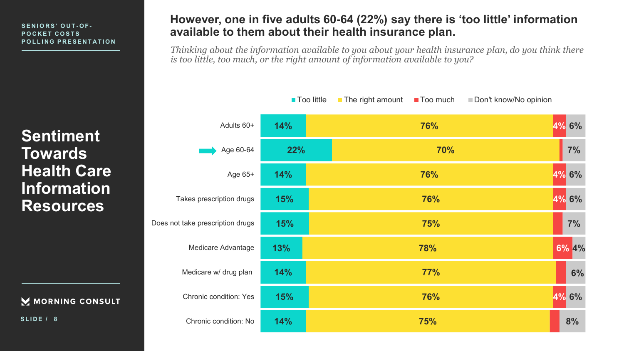### **POCKET COSTS POLLING PRESENTATION**

**Sentiment Towards Health Care Information Resources**

M MORNING CONSULT

**SLIDE / 8**

## **However, one in five adults 60-64 (22%) say there is 'too little' information available to them about their health insurance plan.** POCKET COSTS

*Thinking about the information available to you about your health insurance plan, do you think there is too little, too much, or the right amount of information available to you?*

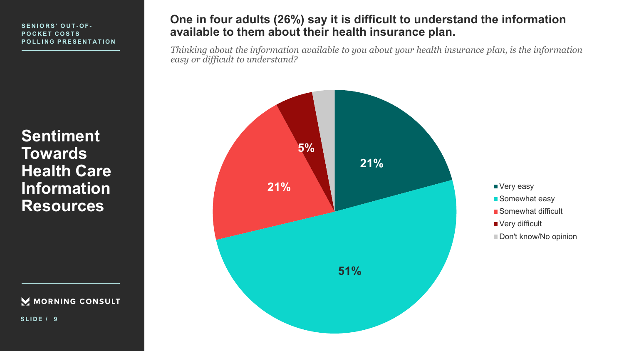**Sentiment Towards Health Care Information Resources**

MORNING CONSULT

**SLIDE / 9**

## **One in four adults (26%) say it is difficult to understand the information available to them about their health insurance plan.**

*Thinking about the information available to you about your health insurance plan, is the information easy or difficult to understand?*

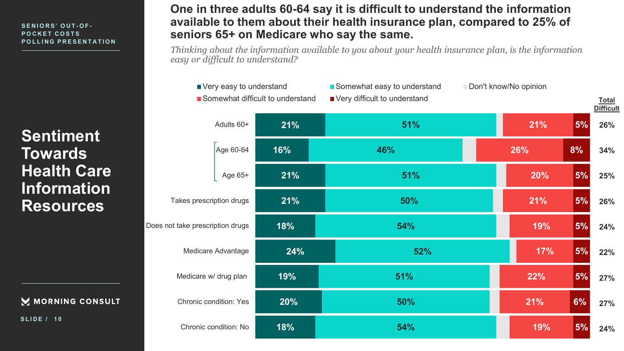**Sentiment Towards Health Care Information Resources**

### M MORNING CONSULT

**SLIDE / 1 0**

## **One in three adults 60-64 say it is difficult to understand the information available to them about their health insurance plan, compared to 25% of seniors 65+ on Medicare who say the same.**

*Thinking about the information available to you about your health insurance plan, is the information easy or difficult to understand?*

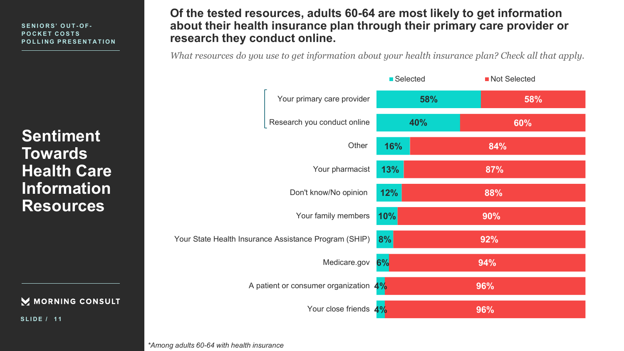**Sentiment Towards Health Care Information Resources**

M MORNING CONSULT

**SLIDE / 1 1**

**Of the tested resources, adults 60-64 are most likely to get information about their health insurance plan through their primary care provider or research they conduct online.** 

*What resources do you use to get information about your health insurance plan? Check all that apply.*



*\*Among adults 60-64 with health insurance*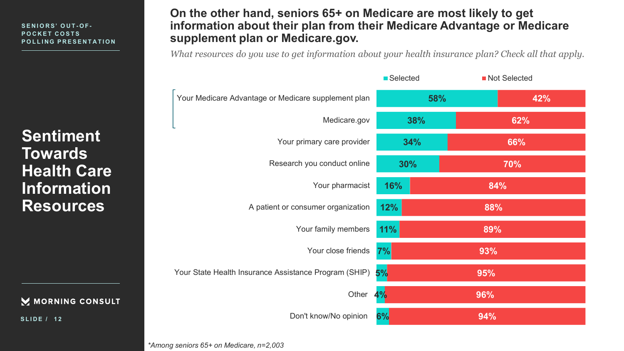**Sentiment Towards Health Care Information Resources**

M MORNING CONSULT

**SLIDE / 1 2**

## **On the other hand, seniors 65+ on Medicare are most likely to get information about their plan from their Medicare Advantage or Medicare supplement plan or Medicare.gov.**

*What resources do you use to get information about your health insurance plan? Check all that apply.*



*\*Among seniors 65+ on Medicare, n=2,003*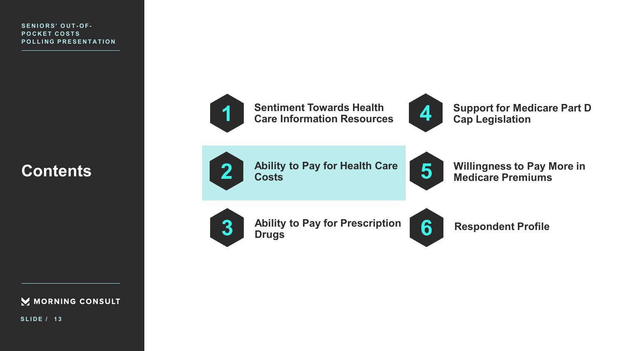## **Contents**



**SLIDE / 1 3**



**Sentiment Towards Health Care Information Resources**



**Support for Medicare Part D Cap Legislation**



**Ability to Pay for Health Care Costs**



**Willingness to Pay More in Medicare Premiums** 



**Ability to Pay for Prescription Drugs** 



**Respondent Profile**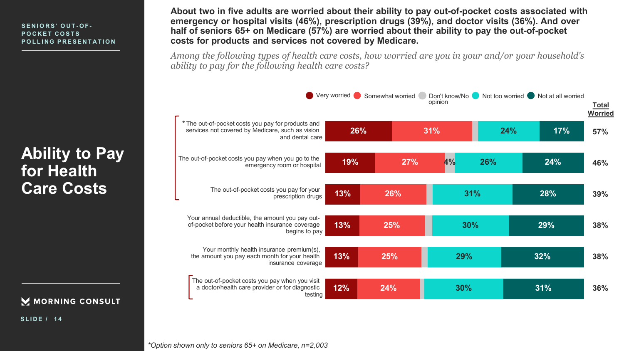**Ability to Pay for Health Care Costs**

M MORNING CONSULT

**SLIDE / 1 4**

**About two in five adults are worried about their ability to pay out-of-pocket costs associated with emergency or hospital visits (46%), prescription drugs (39%), and doctor visits (36%). And over half of seniors 65+ on Medicare (57%) are worried about their ability to pay the out-of-pocket costs for products and services not covered by Medicare.** 

*Among the following types of health care costs, how worried are you in your and/or your household's ability to pay for the following health care costs?*

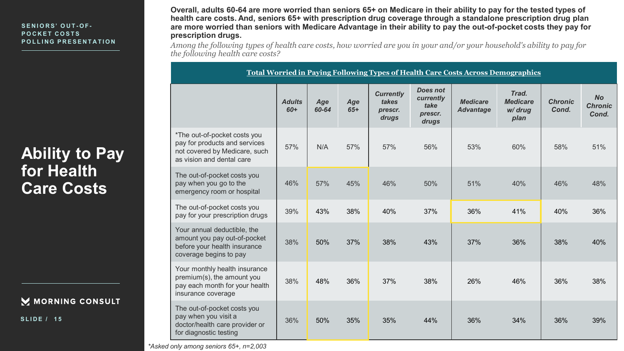## **Ability to Pay for Health Care Costs**

### M MORNING CONSULT

**SLIDE / 1 5**

**Overall, adults 60-64 are more worried than seniors 65+ on Medicare in their ability to pay for the tested types of health care costs. And, seniors 65+ with prescription drug coverage through a standalone prescription drug plan are more worried than seniors with Medicare Advantage in their ability to pay the out-of-pocket costs they pay for prescription drugs.** 

*Among the following types of health care costs, how worried are you in your and/or your household's ability to pay for the following health care costs?*

**Total Worried in Paying Following Types of Health Care Costs Across Demographics** 

|                                                                                                                             | <b>Adults</b><br>$60+$ | Age<br>60-64 | Age<br>$65+$ | <b>Currently</b><br>takes<br>prescr.<br>drugs | <b>Does not</b><br>currently<br>take<br>prescr.<br>drugs | <b>Medicare</b><br><b>Advantage</b> | Trad.<br><b>Medicare</b><br>w/ drug<br>plan | <b>Chronic</b><br>Cond. | <b>No</b><br><b>Chronic</b><br>Cond. |
|-----------------------------------------------------------------------------------------------------------------------------|------------------------|--------------|--------------|-----------------------------------------------|----------------------------------------------------------|-------------------------------------|---------------------------------------------|-------------------------|--------------------------------------|
| *The out-of-pocket costs you<br>pay for products and services<br>not covered by Medicare, such<br>as vision and dental care | 57%                    | N/A          | 57%          | 57%                                           | 56%                                                      | 53%                                 | 60%                                         | 58%                     | 51%                                  |
| The out-of-pocket costs you<br>pay when you go to the<br>emergency room or hospital                                         | 46%                    | 57%          | 45%          | 46%                                           | 50%                                                      | 51%                                 | 40%                                         | 46%                     | 48%                                  |
| The out-of-pocket costs you<br>pay for your prescription drugs                                                              | 39%                    | 43%          | 38%          | 40%                                           | 37%                                                      | 36%                                 | 41%                                         | 40%                     | 36%                                  |
| Your annual deductible, the<br>amount you pay out-of-pocket<br>before your health insurance<br>coverage begins to pay       | 38%                    | 50%          | 37%          | 38%                                           | 43%                                                      | 37%                                 | 36%                                         | 38%                     | 40%                                  |
| Your monthly health insurance<br>premium(s), the amount you<br>pay each month for your health<br>insurance coverage         | 38%                    | 48%          | 36%          | 37%                                           | 38%                                                      | 26%                                 | 46%                                         | 36%                     | 38%                                  |
| The out-of-pocket costs you<br>pay when you visit a<br>doctor/health care provider or<br>for diagnostic testing             | 36%                    | 50%          | 35%          | 35%                                           | 44%                                                      | 36%                                 | 34%                                         | 36%                     | 39%                                  |

*\*Asked only among seniors 65+, n=2,003*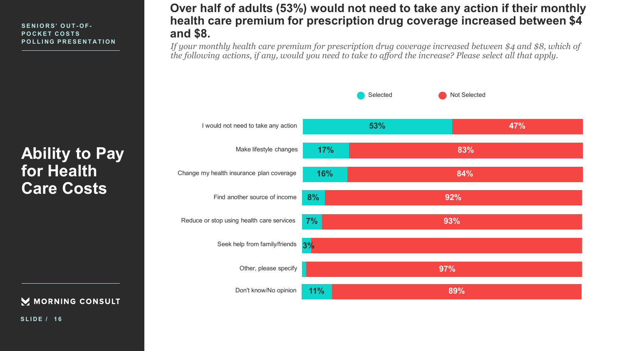**Ability to Pay for Health Care Costs**

M MORNING CONSULT

**SLIDE / 1 6**

## **Over half of adults (53%) would not need to take any action if their monthly health care premium for prescription drug coverage increased between \$4 and \$8.**

*If your monthly health care premium for prescription drug coverage increased between \$4 and \$8, which of the following actions, if any, would you need to take to afford the increase? Please select all that apply.* 

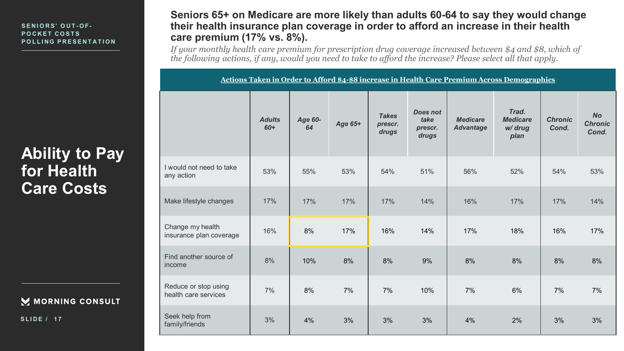**Ability to Pay for Health Care Costs**

M MORNING CONSULT

**SLIDE / 1 7**

### **Seniors 65+ on Medicare are more likely than adults 60-64 to say they would change their health insurance plan coverage in order to afford an increase in their health care premium (17% vs. 8%).**

*If your monthly health care premium for prescription drug coverage increased between \$4 and \$8, which of the following actions, if any, would you need to take to afford the increase? Please select all that apply.* 

| Actions Taken in Order to Afford \$4-\$8 increase in Health Care Premium Across Demographics |                        |               |         |                                  |                                             |                                     |                                             |                         |                                      |
|----------------------------------------------------------------------------------------------|------------------------|---------------|---------|----------------------------------|---------------------------------------------|-------------------------------------|---------------------------------------------|-------------------------|--------------------------------------|
|                                                                                              | <b>Adults</b><br>$60+$ | Age 60-<br>64 | Age 65+ | <b>Takes</b><br>prescr.<br>drugs | <b>Does not</b><br>take<br>prescr.<br>drugs | <b>Medicare</b><br><b>Advantage</b> | Trad.<br><b>Medicare</b><br>w/ drug<br>plan | <b>Chronic</b><br>Cond. | <b>No</b><br><b>Chronic</b><br>Cond. |
| I would not need to take<br>any action                                                       | 53%                    | 55%           | 53%     | 54%                              | 51%                                         | 56%                                 | 52%                                         | 54%                     | 53%                                  |
| Make lifestyle changes                                                                       | 17%                    | 17%           | 17%     | 17%                              | 14%                                         | 16%                                 | 17%                                         | 17%                     | 14%                                  |
| Change my health<br>insurance plan coverage                                                  | 16%                    | 8%            | 17%     | 16%                              | 14%                                         | 17%                                 | 18%                                         | 16%                     | 17%                                  |
| Find another source of<br>income                                                             | 8%                     | 10%           | 8%      | 8%                               | 9%                                          | 8%                                  | 8%                                          | 8%                      | $8%$                                 |
| Reduce or stop using<br>health care services                                                 | 7%                     | 8%            | 7%      | 7%                               | 10%                                         | 7%                                  | 6%                                          | 7%                      | 7%                                   |
| Seek help from<br>family/friends                                                             | 3%                     | 4%            | 3%      | 3%                               | 3%                                          | 4%                                  | 2%                                          | 3%                      | 3%                                   |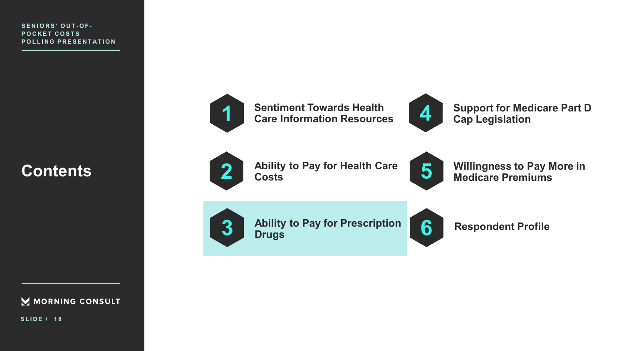## **Contents**



**SLIDE / 1 8**



**Sentiment Towards Health Care Information Resources**



**Support for Medicare Part D Cap Legislation**



**Ability to Pay for Health Care Costs**



**Willingness to Pay More in Medicare Premiums** 



**Ability to Pay for Prescription Drugs** 



**Respondent Profile**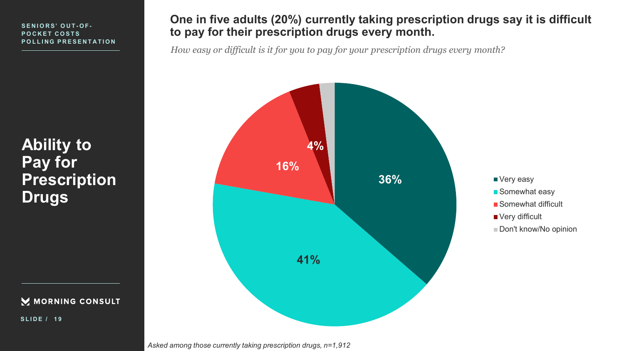**Ability to Pay for Prescription Drugs** 

MORNING CONSULT

**SLIDE / 1 9**

## **One in five adults (20%) currently taking prescription drugs say it is difficult to pay for their prescription drugs every month.**

*How easy or difficult is it for you to pay for your prescription drugs every month?*





Don't know/No opinion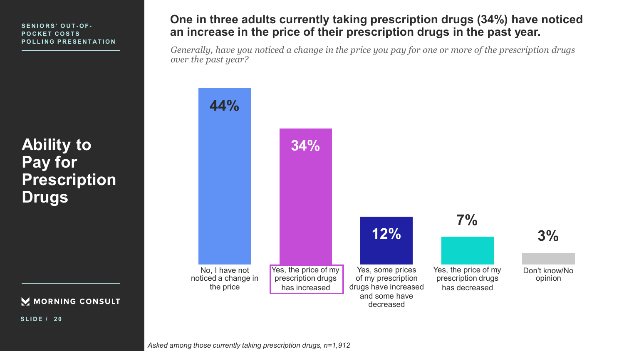**Ability to Pay for Prescription Drugs** 



**SLIDE / 2 0**

## **One in three adults currently taking prescription drugs (34%) have noticed an increase in the price of their prescription drugs in the past year.**

*Generally, have you noticed a change in the price you pay for one or more of the prescription drugs over the past year?*

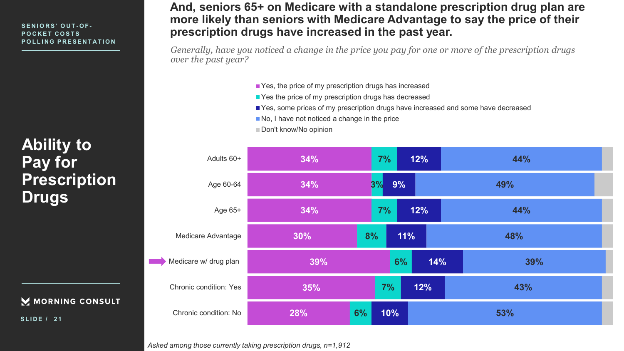### **POCKET COSTS POLLING PRESENTATION**

## **Ability to Pay for Prescription Drugs**

### M MORNING CONSULT

**SLIDE / 2 1**

## **And, seniors 65+ on Medicare with a standalone prescription drug plan are more likely than seniors with Medicare Advantage to say the price of their prescription drugs have increased in the past year.** POCKET COSTS

*Generally, have you noticed a change in the price you pay for one or more of the prescription drugs over the past year?*

- Yes, the price of my prescription drugs has increased
- Yes the price of my prescription drugs has decreased
- Yes, some prices of my prescription drugs have increased and some have decreased
- No, I have not noticed a change in the price
- Don't know/No opinion

| Adults 60+                    | 34% | 7%<br>12% | 44% |  |  |
|-------------------------------|-----|-----------|-----|--|--|
| Age 60-64                     | 34% | 9%<br>3%  | 49% |  |  |
| Age 65+                       | 34% | 12%<br>7% | 44% |  |  |
| Medicare Advantage            | 30% | 8%<br>11% | 48% |  |  |
| Medicare w/ drug plan         | 39% | 14%<br>6% | 39% |  |  |
| <b>Chronic condition: Yes</b> | 35% | 7%<br>12% | 43% |  |  |
| Chronic condition: No         | 28% | 6%<br>10% | 53% |  |  |

*Asked among those currently taking prescription drugs, n=1,912*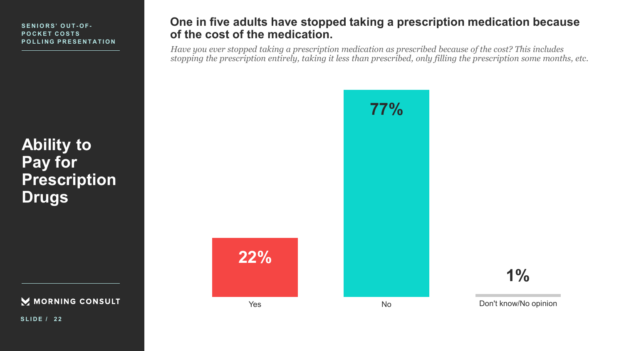**Ability to Pay for Prescription Drugs** 

MORNING CONSULT

**SLIDE / 2 2**

## **One in five adults have stopped taking a prescription medication because of the cost of the medication.**

*Have you ever stopped taking a prescription medication as prescribed because of the cost? This includes stopping the prescription entirely, taking it less than prescribed, only filling the prescription some months, etc.*



**22%**

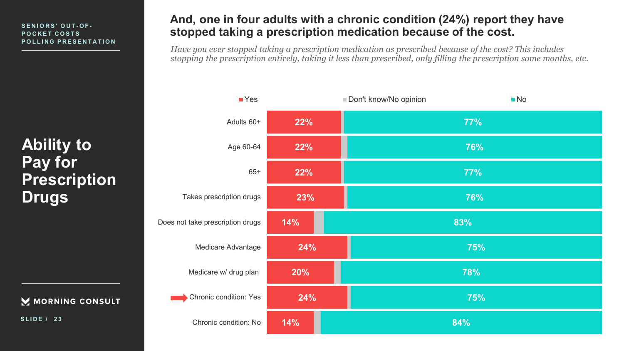### **POCKET COSTS POLLING PRESENTATION**

**Ability to Pay for Prescription Drugs** 



**SLIDE / 2 3**

## **And, one in four adults with a chronic condition (24%) report they have**  SENIORS' OUT-OF-<br>POCKET COSTS **Stopped taking a prescription medication because of the cost.**

*Have you ever stopped taking a prescription medication as prescribed because of the cost? This includes stopping the prescription entirely, taking it less than prescribed, only filling the prescription some months, etc.*

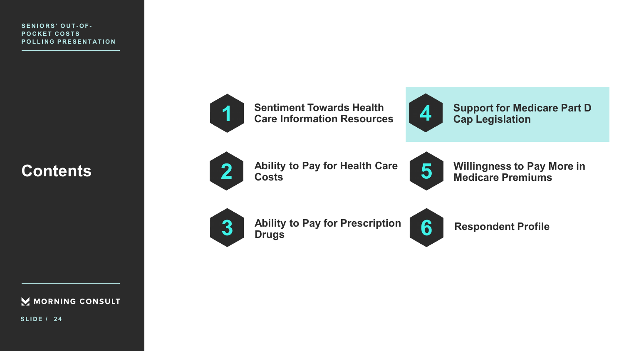## **Contents**



**SLIDE / 2 4**



**Sentiment Towards Health Care Information Resources**



**Support for Medicare Part D Cap Legislation**



**Ability to Pay for Health Care Costs**



**Willingness to Pay More in Medicare Premiums** 



**Ability to Pay for Prescription Drugs** 



**Respondent Profile**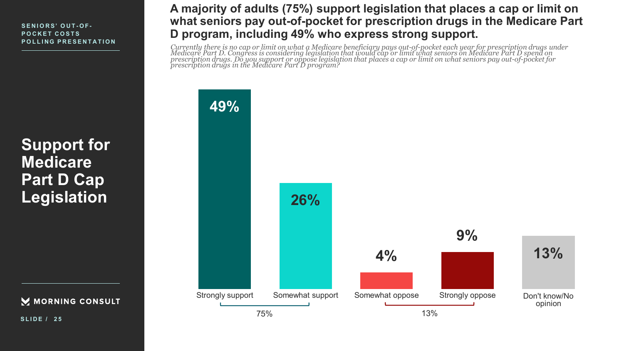**Support for Medicare Part D Cap Legislation**

M MORNING CONSULT

**SLIDE / 2 5**

## **A majority of adults (75%) support legislation that places a cap or limit on what seniors pay out-of-pocket for prescription drugs in the Medicare Part D program, including 49% who express strong support.**

Currently there is no cap or limit on what a Medicare beneficiary pays out-of-pocket each year for prescription drugs under<br>Medicare Part D. Congress is considering legislation that would cap or limit what seniors on Medic *prescription drugs. Do you support or oppose legislation that places a cap or limit on what seniors pay out-of-pocket for prescription drugs in the Medicare Part D program?*

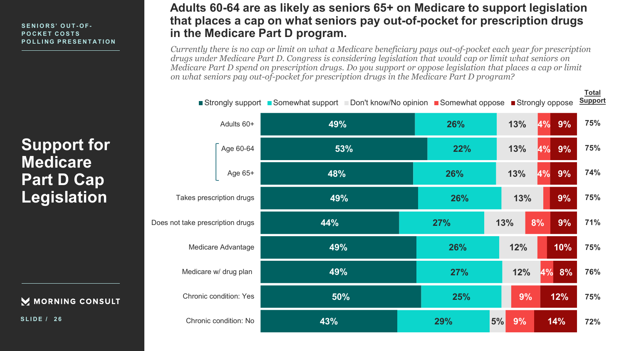**Support for Medicare Part D Cap Legislation**

M MORNING CONSULT

**SLIDE / 2 6**

## **Adults 60-64 are as likely as seniors 65+ on Medicare to support legislation that places a cap on what seniors pay out-of-pocket for prescription drugs in the Medicare Part D program.**

*Currently there is no cap or limit on what a Medicare beneficiary pays out-of-pocket each year for prescription drugs under Medicare Part D. Congress is considering legislation that would cap or limit what seniors on Medicare Part D spend on prescription drugs. Do you support or oppose legislation that places a cap or limit on what seniors pay out-of-pocket for prescription drugs in the Medicare Part D program?*



**Total**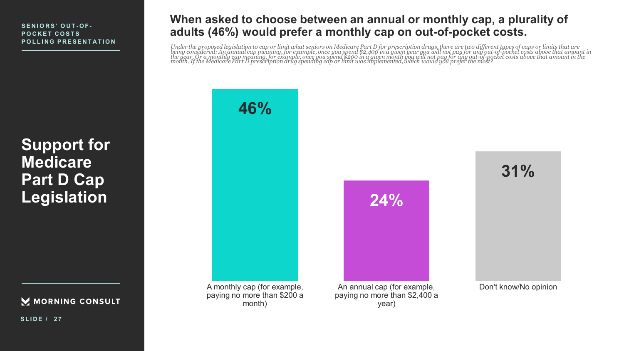**Support for Medicare Part D Cap Legislation**

M MORNING CONSULT

**When asked to choose between an annual or monthly cap, a plurality of adults (46%) would prefer a monthly cap on out-of-pocket costs.**

Under the proposed legislation to cap or limit what seniors on Medicare Part D for prescription drugs, there are two different types of caps or limits that are<br>being considered: An annual cap meaning, for example, once you



**SLIDE / 2 7**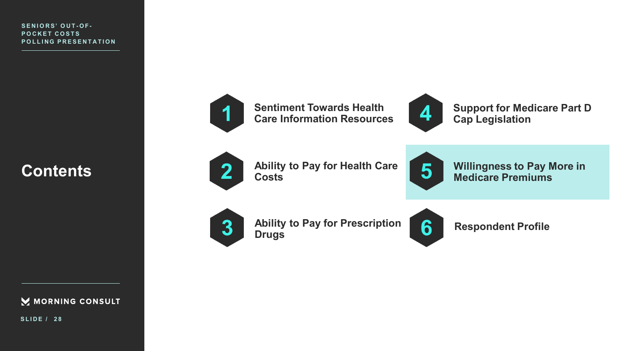## **Contents**



**SLIDE / 2 8**



**Sentiment Towards Health Care Information Resources**



**Support for Medicare Part D Cap Legislation**



**Ability to Pay for Health Care Costs**



**Willingness to Pay More in Medicare Premiums** 



**Ability to Pay for Prescription Drugs** 



**Respondent Profile**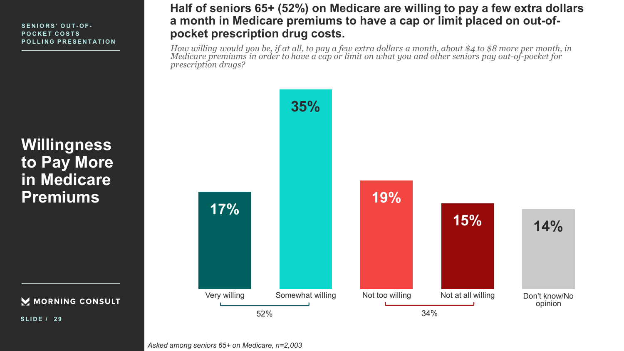**Willingness to Pay More in Medicare Premiums** 

M MORNING CONSULT

**SLIDE / 2 9**

## **Half of seniors 65+ (52%) on Medicare are willing to pay a few extra dollars a month in Medicare premiums to have a cap or limit placed on out-ofpocket prescription drug costs.**

*How willing would you be, if at all, to pay a few extra dollars a month, about \$4 to \$8 more per month, in Medicare premiums in order to have a cap or limit on what you and other seniors pay out-of-pocket for prescription drugs?*

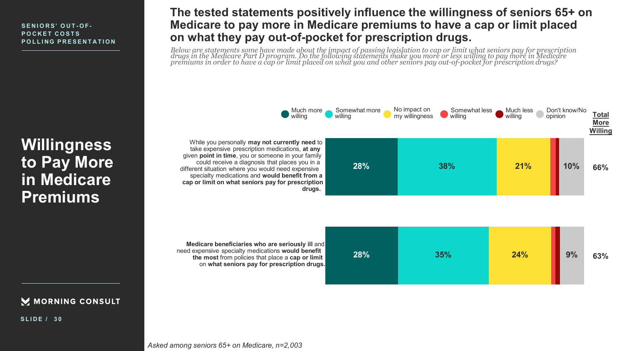**Willingness to Pay More in Medicare Premiums** 

M MORNING CONSULT

**SLIDE / 3 0**

## **The tested statements positively influence the willingness of seniors 65+ on Medicare to pay more in Medicare premiums to have a cap or limit placed on what they pay out-of-pocket for prescription drugs.**

*Below are statements some have made about the impact of passing legislation to cap or limit what seniors pay for prescription drugs in the Medicare Part D program. Do the following statements make you more or less willing to pay more in Medicare premiums in order to have a cap or limit placed on what you and other seniors pay out-of-pocket for prescription drugs?*

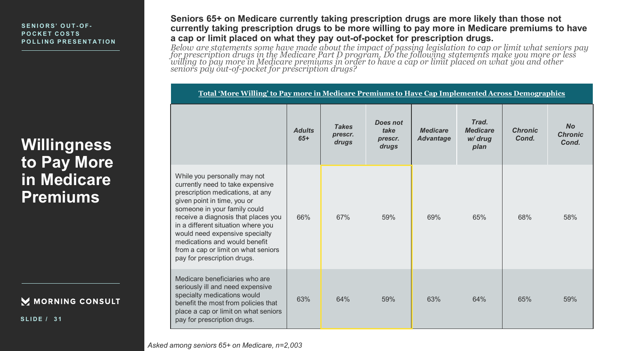**Willingness to Pay More in Medicare Premiums** 

### M MORNING CONSULT

**SLIDE / 3 1**

**Seniors 65+ on Medicare currently taking prescription drugs are more likely than those not currently taking prescription drugs to be more willing to pay more in Medicare premiums to have a cap or limit placed on what they pay out-of-pocket for prescription drugs.** 

*Below are statements some have made about the impact of passing legislation to cap or limit what seniors pay for prescription drugs in the Medicare Part D program. Do the following statements make you more or less willing to pay more in Medicare premiums in order to have a cap or limit placed on what you and other seniors pay out-of-pocket for prescription drugs?*

| Total 'More Willing' to Pay more in Medicare Premiums to Have Cap Implemented Across Demographics                                                                                                                                                                                                                                                                                         |                        |                                  |                                      |                                     |                                             |                         |                                      |
|-------------------------------------------------------------------------------------------------------------------------------------------------------------------------------------------------------------------------------------------------------------------------------------------------------------------------------------------------------------------------------------------|------------------------|----------------------------------|--------------------------------------|-------------------------------------|---------------------------------------------|-------------------------|--------------------------------------|
|                                                                                                                                                                                                                                                                                                                                                                                           | <b>Adults</b><br>$65+$ | <b>Takes</b><br>prescr.<br>drugs | Does not<br>take<br>prescr.<br>drugs | <b>Medicare</b><br><b>Advantage</b> | Trad.<br><b>Medicare</b><br>w/ drug<br>plan | <b>Chronic</b><br>Cond. | <b>No</b><br><b>Chronic</b><br>Cond. |
| While you personally may not<br>currently need to take expensive<br>prescription medications, at any<br>given point in time, you or<br>someone in your family could<br>receive a diagnosis that places you<br>in a different situation where you<br>would need expensive specialty<br>medications and would benefit<br>from a cap or limit on what seniors<br>pay for prescription drugs. | 66%                    | 67%                              | 59%                                  | 69%                                 | 65%                                         | 68%                     | 58%                                  |
| Medicare beneficiaries who are<br>seriously ill and need expensive<br>specialty medications would<br>benefit the most from policies that<br>place a cap or limit on what seniors<br>pay for prescription drugs.                                                                                                                                                                           | 63%                    | 64%                              | 59%                                  | 63%                                 | 64%                                         | 65%                     | 59%                                  |

*Asked among seniors 65+ on Medicare, n=2,003*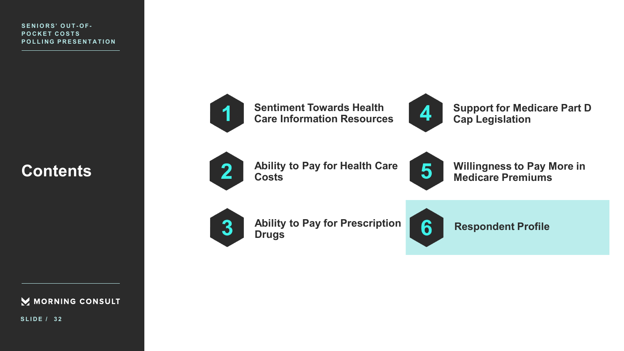## **Contents**



**SLIDE / 3 2**



**Sentiment Towards Health Care Information Resources**



**Support for Medicare Part D Cap Legislation**



**Ability to Pay for Health Care Costs**



**Willingness to Pay More in Medicare Premiums** 



**Ability to Pay for Prescription Drugs** 



**Respondent Profile**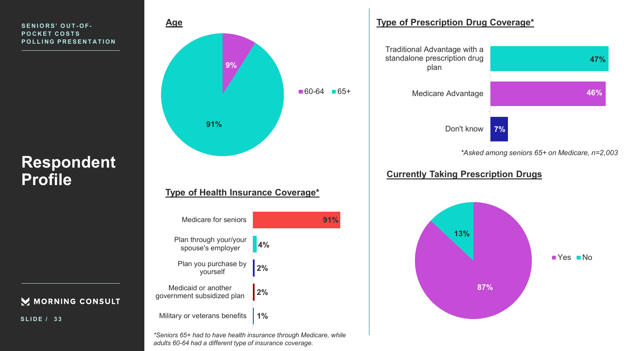## **Respondent Profile**

MORNING CONSULT

| Medicare for seniors                              |    |
|---------------------------------------------------|----|
| Plan through your/your<br>spouse's employer       | 4% |
| Plan you purchase by<br>yourself                  | 2% |
| Medicaid or another<br>government subsidized plan | 2% |
| Military or veterans benefits                     | 1% |

**Type of Health Insurance Coverage\*** 

**9%**

 $-60-64$   $-65+$ 

**91%**

**91%**

**Age** 

*\*Seniors 65+ had to have health insurance through Medicare, while adults 60-64 had a different type of insurance coverage.* 





### **Currently Taking Prescription Drugs**



**SLIDE / 3 3**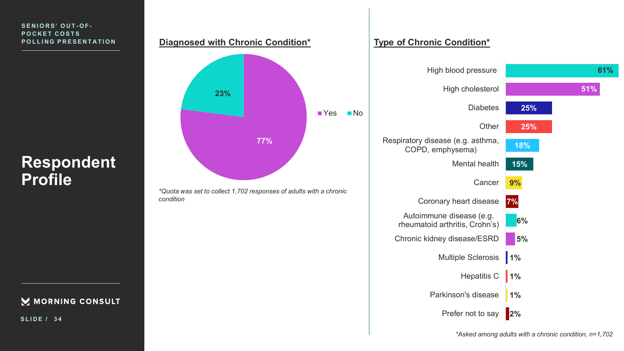## **Respondent Profile**

### MORNING CONSULT

**SLIDE / 3 4**

#### **Diagnosed with Chronic Condition\***



*\*Quota was set to collect 1,702 responses of adults with a chronic condition*